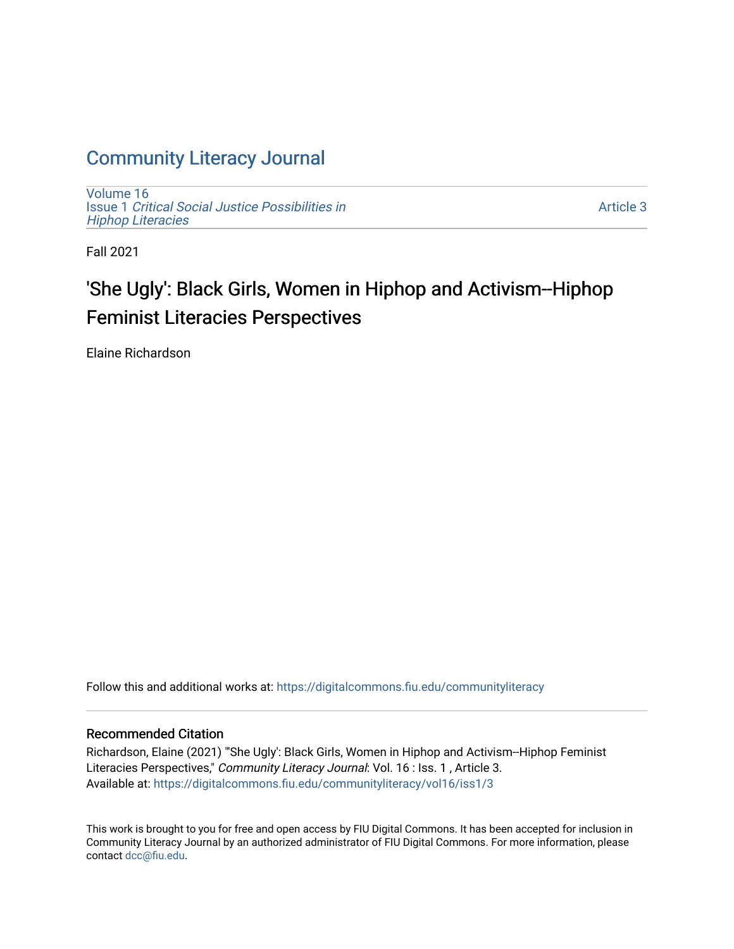## [Community Literacy Journal](https://digitalcommons.fiu.edu/communityliteracy)

[Volume 16](https://digitalcommons.fiu.edu/communityliteracy/vol16) Issue 1 [Critical Social Justice Possibilities in](https://digitalcommons.fiu.edu/communityliteracy/vol16/iss1) [Hiphop Literacies](https://digitalcommons.fiu.edu/communityliteracy/vol16/iss1)

[Article 3](https://digitalcommons.fiu.edu/communityliteracy/vol16/iss1/3) 

Fall 2021

## 'She Ugly': Black Girls, Women in Hiphop and Activism--Hiphop Feminist Literacies Perspectives

Elaine Richardson

Follow this and additional works at: [https://digitalcommons.fiu.edu/communityliteracy](https://digitalcommons.fiu.edu/communityliteracy?utm_source=digitalcommons.fiu.edu%2Fcommunityliteracy%2Fvol16%2Fiss1%2F3&utm_medium=PDF&utm_campaign=PDFCoverPages)

#### Recommended Citation

Richardson, Elaine (2021) "'She Ugly': Black Girls, Women in Hiphop and Activism--Hiphop Feminist Literacies Perspectives," Community Literacy Journal: Vol. 16 : Iss. 1, Article 3. Available at: [https://digitalcommons.fiu.edu/communityliteracy/vol16/iss1/3](https://digitalcommons.fiu.edu/communityliteracy/vol16/iss1/3?utm_source=digitalcommons.fiu.edu%2Fcommunityliteracy%2Fvol16%2Fiss1%2F3&utm_medium=PDF&utm_campaign=PDFCoverPages) 

This work is brought to you for free and open access by FIU Digital Commons. It has been accepted for inclusion in Community Literacy Journal by an authorized administrator of FIU Digital Commons. For more information, please contact [dcc@fiu.edu](mailto:dcc@fiu.edu).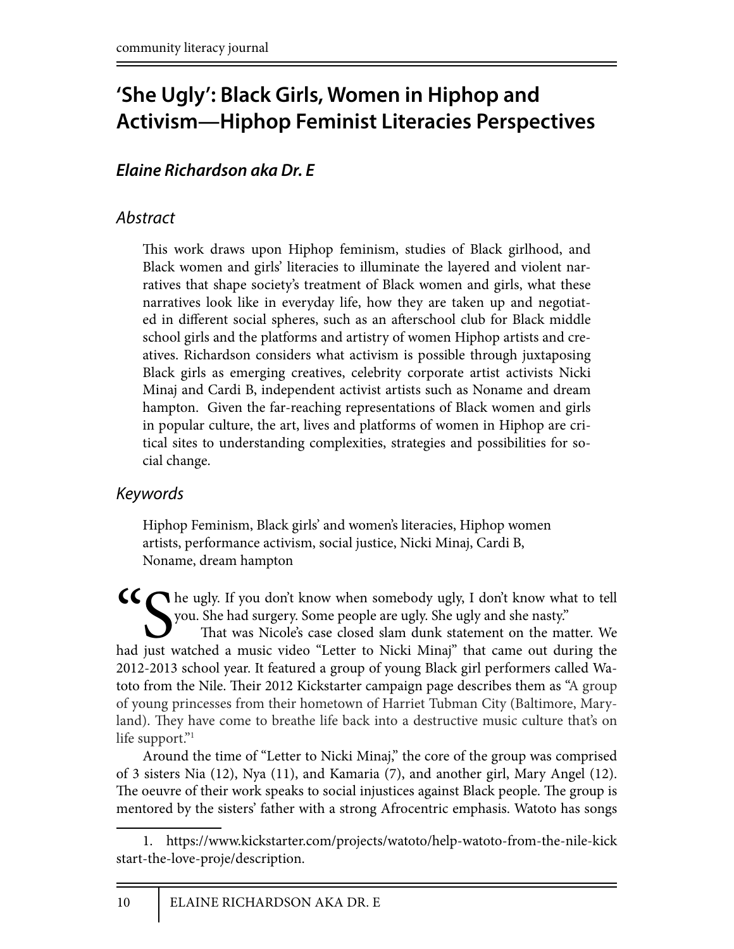# **'She Ugly': Black Girls, Women in Hiphop and Activism—Hiphop Feminist Literacies Perspectives**

### *Elaine Richardson aka Dr. E*

### *Abstract*

This work draws upon Hiphop feminism, studies of Black girlhood, and Black women and girls' literacies to illuminate the layered and violent narratives that shape society's treatment of Black women and girls, what these narratives look like in everyday life, how they are taken up and negotiated in different social spheres, such as an afterschool club for Black middle school girls and the platforms and artistry of women Hiphop artists and creatives. Richardson considers what activism is possible through juxtaposing Black girls as emerging creatives, celebrity corporate artist activists Nicki Minaj and Cardi B, independent activist artists such as Noname and dream hampton. Given the far-reaching representations of Black women and girls in popular culture, the art, lives and platforms of women in Hiphop are critical sites to understanding complexities, strategies and possibilities for social change.

### *Keywords*

Hiphop Feminism, Black girls' and women's literacies, Hiphop women artists, performance activism, social justice, Nicki Minaj, Cardi B, Noname, dream hampton

She ugly. If you don't know when somebody ugly, I don't know what to tell you. She had surgery. Some people are ugly. She ugly and she nasty." That was Nicole's case closed slam dunk statement on the matter. We had just watched a music video "Letter to Nicki Minaj" that came out during the 2012-2013 school year. It featured a group of young Black girl performers called Watoto from the Nile. Their 2012 Kickstarter campaign page describes them as "A group of young princesses from their hometown of Harriet Tubman City (Baltimore, Maryland). They have come to breathe life back into a destructive music culture that's on life support."<sup>1</sup>

Around the time of "Letter to Nicki Minaj," the core of the group was comprised of 3 sisters Nia (12), Nya (11), and Kamaria (7), and another girl, Mary Angel (12). The oeuvre of their work speaks to social injustices against Black people. The group is mentored by the sisters' father with a strong Afrocentric emphasis. Watoto has songs

<sup>1.</sup> https://www.kickstarter.com/projects/watoto/help-watoto-from-the-nile-kick start-the-love-proje/description.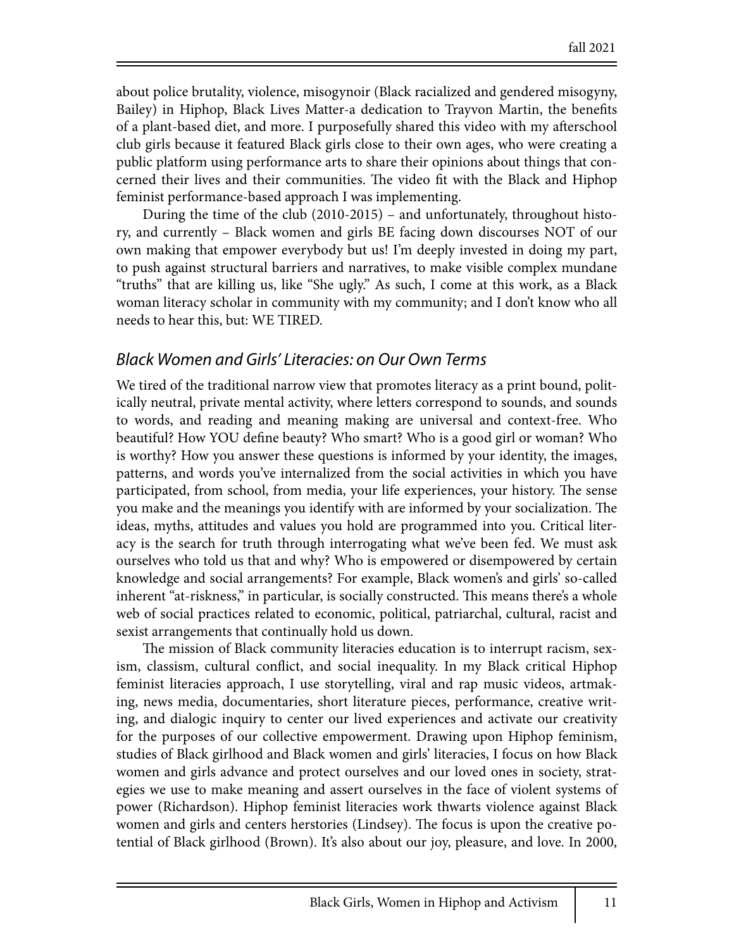about police brutality, violence, misogynoir (Black racialized and gendered misogyny, Bailey) in Hiphop, Black Lives Matter-a dedication to Trayvon Martin, the benefits of a plant-based diet, and more. I purposefully shared this video with my afterschool club girls because it featured Black girls close to their own ages, who were creating a public platform using performance arts to share their opinions about things that concerned their lives and their communities. The video fit with the Black and Hiphop feminist performance-based approach I was implementing.

During the time of the club (2010-2015) – and unfortunately, throughout history, and currently – Black women and girls BE facing down discourses NOT of our own making that empower everybody but us! I'm deeply invested in doing my part, to push against structural barriers and narratives, to make visible complex mundane "truths" that are killing us, like "She ugly." As such, I come at this work, as a Black woman literacy scholar in community with my community; and I don't know who all needs to hear this, but: WE TIRED.

#### *Black Women and Girls' Literacies: on Our Own Terms*

We tired of the traditional narrow view that promotes literacy as a print bound, politically neutral, private mental activity, where letters correspond to sounds, and sounds to words, and reading and meaning making are universal and context-free. Who beautiful? How YOU define beauty? Who smart? Who is a good girl or woman? Who is worthy? How you answer these questions is informed by your identity, the images, patterns, and words you've internalized from the social activities in which you have participated, from school, from media, your life experiences, your history. The sense you make and the meanings you identify with are informed by your socialization. The ideas, myths, attitudes and values you hold are programmed into you. Critical literacy is the search for truth through interrogating what we've been fed. We must ask ourselves who told us that and why? Who is empowered or disempowered by certain knowledge and social arrangements? For example, Black women's and girls' so-called inherent "at-riskness," in particular, is socially constructed. This means there's a whole web of social practices related to economic, political, patriarchal, cultural, racist and sexist arrangements that continually hold us down.

The mission of Black community literacies education is to interrupt racism, sexism, classism, cultural conflict, and social inequality. In my Black critical Hiphop feminist literacies approach, I use storytelling, viral and rap music videos, artmaking, news media, documentaries, short literature pieces, performance, creative writing, and dialogic inquiry to center our lived experiences and activate our creativity for the purposes of our collective empowerment. Drawing upon Hiphop feminism, studies of Black girlhood and Black women and girls' literacies, I focus on how Black women and girls advance and protect ourselves and our loved ones in society, strategies we use to make meaning and assert ourselves in the face of violent systems of power (Richardson). Hiphop feminist literacies work thwarts violence against Black women and girls and centers herstories (Lindsey). The focus is upon the creative potential of Black girlhood (Brown). It's also about our joy, pleasure, and love. In 2000,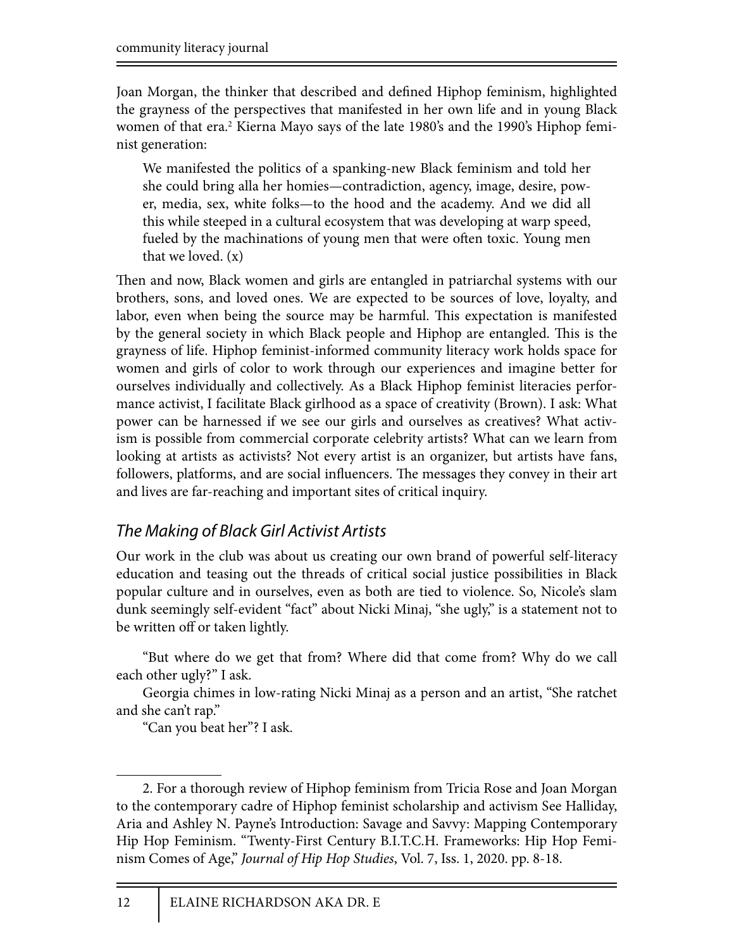Joan Morgan, the thinker that described and defined Hiphop feminism, highlighted the grayness of the perspectives that manifested in her own life and in young Black women of that era.<sup>2</sup> Kierna Mayo says of the late 1980's and the 1990's Hiphop feminist generation:

We manifested the politics of a spanking-new Black feminism and told her she could bring alla her homies—contradiction, agency, image, desire, power, media, sex, white folks—to the hood and the academy. And we did all this while steeped in a cultural ecosystem that was developing at warp speed, fueled by the machinations of young men that were often toxic. Young men that we loved.  $(x)$ 

Then and now, Black women and girls are entangled in patriarchal systems with our brothers, sons, and loved ones. We are expected to be sources of love, loyalty, and labor, even when being the source may be harmful. This expectation is manifested by the general society in which Black people and Hiphop are entangled. This is the grayness of life. Hiphop feminist-informed community literacy work holds space for women and girls of color to work through our experiences and imagine better for ourselves individually and collectively. As a Black Hiphop feminist literacies performance activist, I facilitate Black girlhood as a space of creativity (Brown). I ask: What power can be harnessed if we see our girls and ourselves as creatives? What activism is possible from commercial corporate celebrity artists? What can we learn from looking at artists as activists? Not every artist is an organizer, but artists have fans, followers, platforms, and are social influencers. The messages they convey in their art and lives are far-reaching and important sites of critical inquiry.

### *The Making of Black Girl Activist Artists*

Our work in the club was about us creating our own brand of powerful self-literacy education and teasing out the threads of critical social justice possibilities in Black popular culture and in ourselves, even as both are tied to violence. So, Nicole's slam dunk seemingly self-evident "fact" about Nicki Minaj, "she ugly," is a statement not to be written off or taken lightly.

"But where do we get that from? Where did that come from? Why do we call each other ugly?" I ask.

Georgia chimes in low-rating Nicki Minaj as a person and an artist, "She ratchet and she can't rap."

"Can you beat her"? I ask.

<sup>2.</sup> For a thorough review of Hiphop feminism from Tricia Rose and Joan Morgan to the contemporary cadre of Hiphop feminist scholarship and activism See Halliday, Aria and Ashley N. Payne's Introduction: Savage and Savvy: Mapping Contemporary Hip Hop Feminism. "Twenty-First Century B.I.T.C.H. Frameworks: Hip Hop Feminism Comes of Age," *Journal of Hip Hop Studies*, Vol. 7, Iss. 1, 2020. pp. 8-18.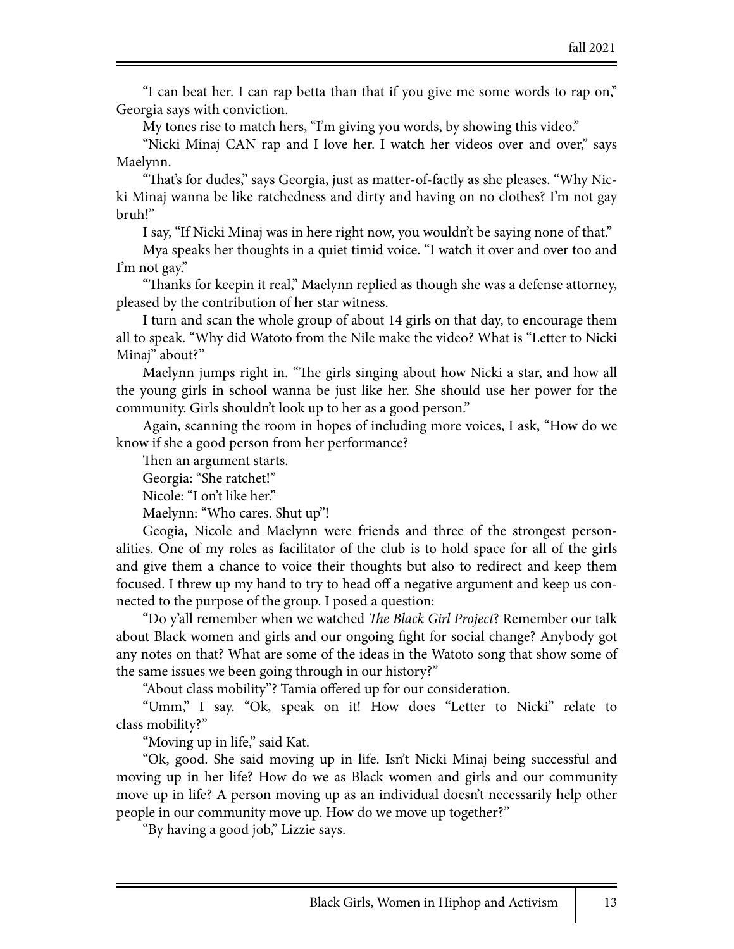"I can beat her. I can rap betta than that if you give me some words to rap on," Georgia says with conviction.

My tones rise to match hers, "I'm giving you words, by showing this video."

"Nicki Minaj CAN rap and I love her. I watch her videos over and over," says Maelynn.

"That's for dudes," says Georgia, just as matter-of-factly as she pleases. "Why Nicki Minaj wanna be like ratchedness and dirty and having on no clothes? I'm not gay bruh!"

I say, "If Nicki Minaj was in here right now, you wouldn't be saying none of that."

Mya speaks her thoughts in a quiet timid voice. "I watch it over and over too and I'm not gay."

"Thanks for keepin it real," Maelynn replied as though she was a defense attorney, pleased by the contribution of her star witness.

I turn and scan the whole group of about 14 girls on that day, to encourage them all to speak. "Why did Watoto from the Nile make the video? What is "Letter to Nicki Minaj" about?"

Maelynn jumps right in. "The girls singing about how Nicki a star, and how all the young girls in school wanna be just like her. She should use her power for the community. Girls shouldn't look up to her as a good person."

Again, scanning the room in hopes of including more voices, I ask, "How do we know if she a good person from her performance?

Then an argument starts.

Georgia: "She ratchet!"

Nicole: "I on't like her."

Maelynn: "Who cares. Shut up"!

Geogia, Nicole and Maelynn were friends and three of the strongest personalities. One of my roles as facilitator of the club is to hold space for all of the girls and give them a chance to voice their thoughts but also to redirect and keep them focused. I threw up my hand to try to head off a negative argument and keep us connected to the purpose of the group. I posed a question:

"Do y'all remember when we watched !*e Black Girl Project*? Remember our talk about Black women and girls and our ongoing \$ght for social change? Anybody got any notes on that? What are some of the ideas in the Watoto song that show some of the same issues we been going through in our history?"

"About class mobility"? Tamia offered up for our consideration.

"Umm," I say. "Ok, speak on it! How does "Letter to Nicki" relate to class mobility?"

"Moving up in life," said Kat.

"Ok, good. She said moving up in life. Isn't Nicki Minaj being successful and moving up in her life? How do we as Black women and girls and our community move up in life? A person moving up as an individual doesn't necessarily help other people in our community move up. How do we move up together?"

"By having a good job," Lizzie says.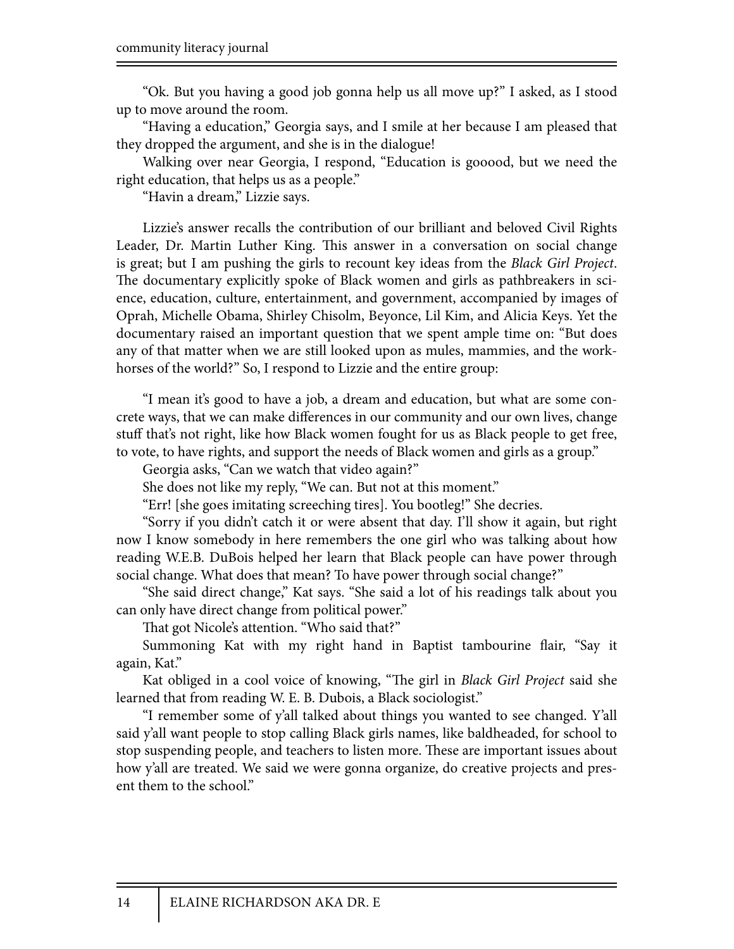"Ok. But you having a good job gonna help us all move up?" I asked, as I stood up to move around the room.

"Having a education," Georgia says, and I smile at her because I am pleased that they dropped the argument, and she is in the dialogue!

Walking over near Georgia, I respond, "Education is gooood, but we need the right education, that helps us as a people."

"Havin a dream," Lizzie says.

Lizzie's answer recalls the contribution of our brilliant and beloved Civil Rights Leader, Dr. Martin Luther King. This answer in a conversation on social change is great; but I am pushing the girls to recount key ideas from the *Black Girl Project*. The documentary explicitly spoke of Black women and girls as pathbreakers in science, education, culture, entertainment, and government, accompanied by images of Oprah, Michelle Obama, Shirley Chisolm, Beyonce, Lil Kim, and Alicia Keys. Yet the documentary raised an important question that we spent ample time on: "But does any of that matter when we are still looked upon as mules, mammies, and the workhorses of the world?" So, I respond to Lizzie and the entire group:

"I mean it's good to have a job, a dream and education, but what are some concrete ways, that we can make differences in our community and our own lives, change stuff that's not right, like how Black women fought for us as Black people to get free, to vote, to have rights, and support the needs of Black women and girls as a group."

Georgia asks, "Can we watch that video again?"

She does not like my reply, "We can. But not at this moment."

"Err! [she goes imitating screeching tires]. You bootleg!" She decries.

"Sorry if you didn't catch it or were absent that day. I'll show it again, but right now I know somebody in here remembers the one girl who was talking about how reading W.E.B. DuBois helped her learn that Black people can have power through social change. What does that mean? To have power through social change?"

"She said direct change," Kat says. "She said a lot of his readings talk about you can only have direct change from political power."

That got Nicole's attention. "Who said that?"

Summoning Kat with my right hand in Baptist tambourine flair, "Say it again, Kat."

Kat obliged in a cool voice of knowing, "The girl in *Black Girl Project* said she learned that from reading W. E. B. Dubois, a Black sociologist."

"I remember some of y'all talked about things you wanted to see changed. Y'all said y'all want people to stop calling Black girls names, like baldheaded, for school to stop suspending people, and teachers to listen more. These are important issues about how y'all are treated. We said we were gonna organize, do creative projects and present them to the school."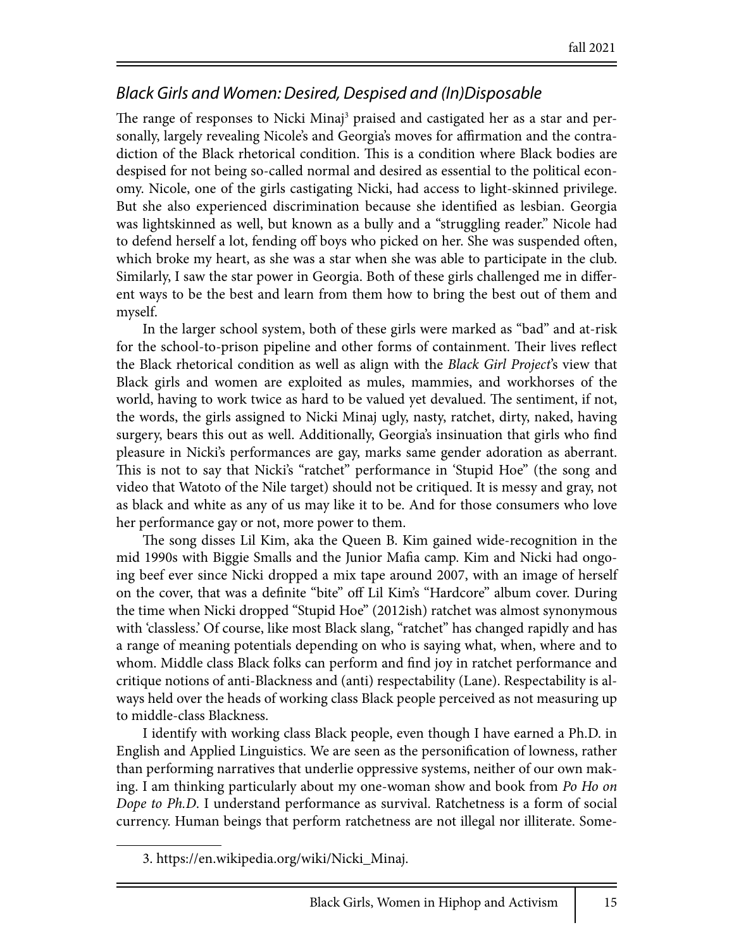### *Black Girls and Women: Desired, Despised and (In)Disposable*

The range of responses to Nicki Minaj<sup>3</sup> praised and castigated her as a star and personally, largely revealing Nicole's and Georgia's moves for affirmation and the contradiction of the Black rhetorical condition. This is a condition where Black bodies are despised for not being so-called normal and desired as essential to the political economy. Nicole, one of the girls castigating Nicki, had access to light-skinned privilege. But she also experienced discrimination because she identified as lesbian. Georgia was lightskinned as well, but known as a bully and a "struggling reader." Nicole had to defend herself a lot, fending off boys who picked on her. She was suspended often, which broke my heart, as she was a star when she was able to participate in the club. Similarly, I saw the star power in Georgia. Both of these girls challenged me in different ways to be the best and learn from them how to bring the best out of them and myself.

In the larger school system, both of these girls were marked as "bad" and at-risk for the school-to-prison pipeline and other forms of containment. Their lives reflect the Black rhetorical condition as well as align with the *Black Girl Project*'s view that Black girls and women are exploited as mules, mammies, and workhorses of the world, having to work twice as hard to be valued yet devalued. The sentiment, if not, the words, the girls assigned to Nicki Minaj ugly, nasty, ratchet, dirty, naked, having surgery, bears this out as well. Additionally, Georgia's insinuation that girls who find pleasure in Nicki's performances are gay, marks same gender adoration as aberrant. This is not to say that Nicki's "ratchet" performance in 'Stupid Hoe" (the song and video that Watoto of the Nile target) should not be critiqued. It is messy and gray, not as black and white as any of us may like it to be. And for those consumers who love her performance gay or not, more power to them.

The song disses Lil Kim, aka the Queen B. Kim gained wide-recognition in the mid 1990s with Biggie Smalls and the Junior Mafia camp. Kim and Nicki had ongoing beef ever since Nicki dropped a mix tape around 2007, with an image of herself on the cover, that was a definite "bite" off Lil Kim's "Hardcore" album cover. During the time when Nicki dropped "Stupid Hoe" (2012ish) ratchet was almost synonymous with 'classless.' Of course, like most Black slang, "ratchet" has changed rapidly and has a range of meaning potentials depending on who is saying what, when, where and to whom. Middle class Black folks can perform and find joy in ratchet performance and critique notions of anti-Blackness and (anti) respectability (Lane). Respectability is always held over the heads of working class Black people perceived as not measuring up to middle-class Blackness.

I identify with working class Black people, even though I have earned a Ph.D. in English and Applied Linguistics. We are seen as the personification of lowness, rather than performing narratives that underlie oppressive systems, neither of our own making. I am thinking particularly about my one-woman show and book from *Po Ho on Dope to Ph.D*. I understand performance as survival. Ratchetness is a form of social currency. Human beings that perform ratchetness are not illegal nor illiterate. Some-

<sup>3.</sup> https://en.wikipedia.org/wiki/Nicki\_Minaj.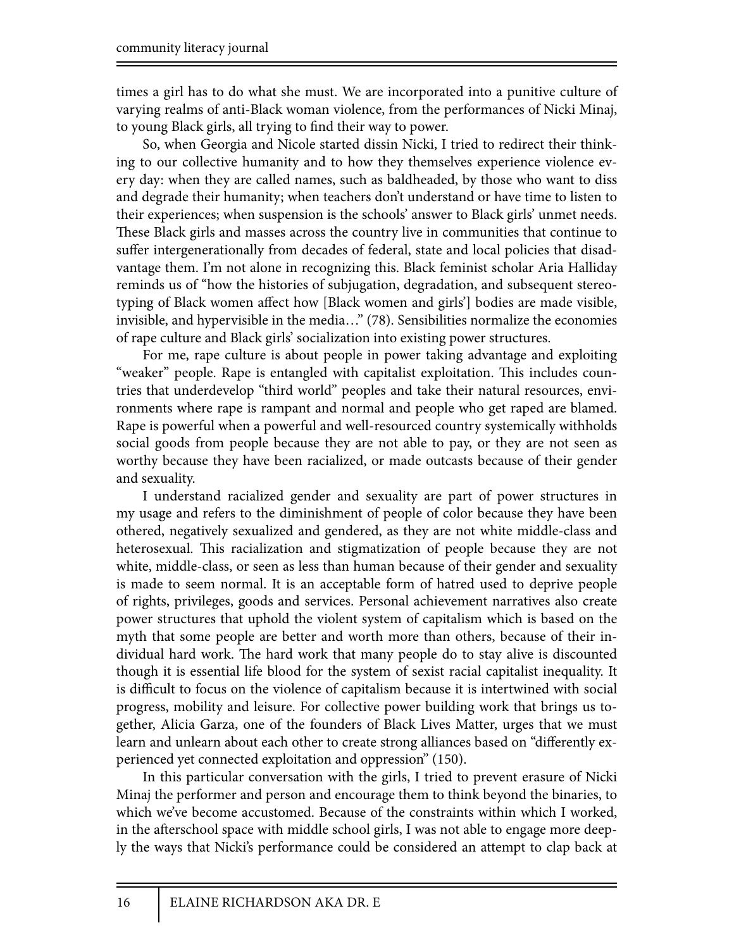times a girl has to do what she must. We are incorporated into a punitive culture of varying realms of anti-Black woman violence, from the performances of Nicki Minaj, to young Black girls, all trying to find their way to power.

So, when Georgia and Nicole started dissin Nicki, I tried to redirect their thinking to our collective humanity and to how they themselves experience violence every day: when they are called names, such as baldheaded, by those who want to diss and degrade their humanity; when teachers don't understand or have time to listen to their experiences; when suspension is the schools' answer to Black girls' unmet needs. These Black girls and masses across the country live in communities that continue to suffer intergenerationally from decades of federal, state and local policies that disadvantage them. I'm not alone in recognizing this. Black feminist scholar Aria Halliday reminds us of "how the histories of subjugation, degradation, and subsequent stereotyping of Black women affect how [Black women and girls'] bodies are made visible, invisible, and hypervisible in the media…" (78). Sensibilities normalize the economies of rape culture and Black girls' socialization into existing power structures.

For me, rape culture is about people in power taking advantage and exploiting "weaker" people. Rape is entangled with capitalist exploitation. This includes countries that underdevelop "third world" peoples and take their natural resources, environments where rape is rampant and normal and people who get raped are blamed. Rape is powerful when a powerful and well-resourced country systemically withholds social goods from people because they are not able to pay, or they are not seen as worthy because they have been racialized, or made outcasts because of their gender and sexuality.

I understand racialized gender and sexuality are part of power structures in my usage and refers to the diminishment of people of color because they have been othered, negatively sexualized and gendered, as they are not white middle-class and heterosexual. This racialization and stigmatization of people because they are not white, middle-class, or seen as less than human because of their gender and sexuality is made to seem normal. It is an acceptable form of hatred used to deprive people of rights, privileges, goods and services. Personal achievement narratives also create power structures that uphold the violent system of capitalism which is based on the myth that some people are better and worth more than others, because of their individual hard work. The hard work that many people do to stay alive is discounted though it is essential life blood for the system of sexist racial capitalist inequality. It is difficult to focus on the violence of capitalism because it is intertwined with social progress, mobility and leisure. For collective power building work that brings us together, Alicia Garza, one of the founders of Black Lives Matter, urges that we must learn and unlearn about each other to create strong alliances based on "differently experienced yet connected exploitation and oppression" (150).

In this particular conversation with the girls, I tried to prevent erasure of Nicki Minaj the performer and person and encourage them to think beyond the binaries, to which we've become accustomed. Because of the constraints within which I worked, in the afterschool space with middle school girls, I was not able to engage more deeply the ways that Nicki's performance could be considered an attempt to clap back at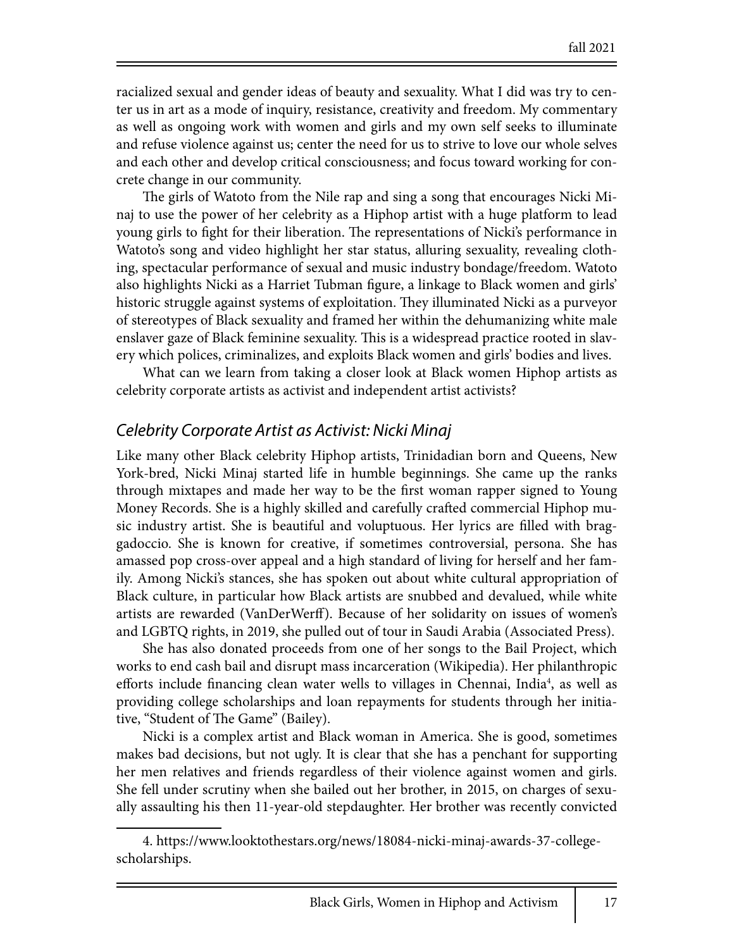racialized sexual and gender ideas of beauty and sexuality. What I did was try to center us in art as a mode of inquiry, resistance, creativity and freedom. My commentary as well as ongoing work with women and girls and my own self seeks to illuminate and refuse violence against us; center the need for us to strive to love our whole selves and each other and develop critical consciousness; and focus toward working for concrete change in our community.

The girls of Watoto from the Nile rap and sing a song that encourages Nicki Minaj to use the power of her celebrity as a Hiphop artist with a huge platform to lead young girls to fight for their liberation. The representations of Nicki's performance in Watoto's song and video highlight her star status, alluring sexuality, revealing clothing, spectacular performance of sexual and music industry bondage/freedom. Watoto also highlights Nicki as a Harriet Tubman figure, a linkage to Black women and girls' historic struggle against systems of exploitation. They illuminated Nicki as a purveyor of stereotypes of Black sexuality and framed her within the dehumanizing white male enslaver gaze of Black feminine sexuality. This is a widespread practice rooted in slavery which polices, criminalizes, and exploits Black women and girls' bodies and lives.

What can we learn from taking a closer look at Black women Hiphop artists as celebrity corporate artists as activist and independent artist activists?

#### *Celebrity Corporate Artist as Activist: Nicki Minaj*

Like many other Black celebrity Hiphop artists, Trinidadian born and Queens, New York-bred, Nicki Minaj started life in humble beginnings. She came up the ranks through mixtapes and made her way to be the \$rst woman rapper signed to Young Money Records. She is a highly skilled and carefully cra#ed commercial Hiphop music industry artist. She is beautiful and voluptuous. Her lyrics are filled with braggadoccio. She is known for creative, if sometimes controversial, persona. She has amassed pop cross-over appeal and a high standard of living for herself and her family. Among Nicki's stances, she has spoken out about white cultural appropriation of Black culture, in particular how Black artists are snubbed and devalued, while white artists are rewarded (VanDerWerff). Because of her solidarity on issues of women's and LGBTQ rights, in 2019, she pulled out of tour in Saudi Arabia (Associated Press).

She has also donated proceeds from one of her songs to the Bail Project, which works to end cash bail and disrupt mass incarceration (Wikipedia). Her philanthropic efforts include financing clean water wells to villages in Chennai, India<sup>4</sup>, as well as providing college scholarships and loan repayments for students through her initiative, "Student of The Game" (Bailey).

Nicki is a complex artist and Black woman in America. She is good, sometimes makes bad decisions, but not ugly. It is clear that she has a penchant for supporting her men relatives and friends regardless of their violence against women and girls. She fell under scrutiny when she bailed out her brother, in 2015, on charges of sexually assaulting his then 11-year-old stepdaughter. Her brother was recently convicted

<sup>4.</sup> https://www.looktothestars.org/news/18084-nicki-minaj-awards-37-collegescholarships.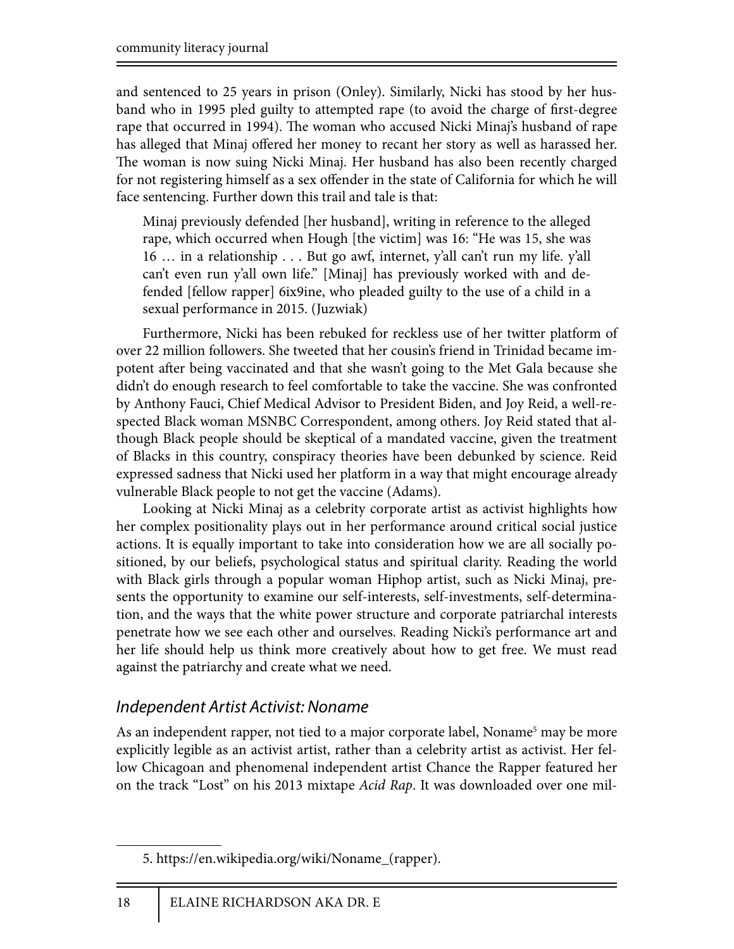and sentenced to 25 years in prison (Onley). Similarly, Nicki has stood by her husband who in 1995 pled guilty to attempted rape (to avoid the charge of first-degree rape that occurred in 1994). The woman who accused Nicki Minaj's husband of rape has alleged that Minaj offered her money to recant her story as well as harassed her. The woman is now suing Nicki Minaj. Her husband has also been recently charged for not registering himself as a sex offender in the state of California for which he will face sentencing. Further down this trail and tale is that:

Minaj previously defended [her husband], writing in reference to the alleged rape, which occurred when Hough [the victim] was 16: "He was 15, she was 16 … in a relationship . . . But go awf, internet, y'all can't run my life. y'all can't even run y'all own life." [Minaj] has previously worked with and defended [fellow rapper] 6ix9ine, who pleaded guilty to the use of a child in a sexual performance in 2015. (Juzwiak)

Furthermore, Nicki has been rebuked for reckless use of her twitter platform of over 22 million followers. She tweeted that her cousin's friend in Trinidad became impotent after being vaccinated and that she wasn't going to the Met Gala because she didn't do enough research to feel comfortable to take the vaccine. She was confronted by Anthony Fauci, Chief Medical Advisor to President Biden, and Joy Reid, a well-respected Black woman MSNBC Correspondent, among others. Joy Reid stated that although Black people should be skeptical of a mandated vaccine, given the treatment of Blacks in this country, conspiracy theories have been debunked by science. Reid expressed sadness that Nicki used her platform in a way that might encourage already vulnerable Black people to not get the vaccine (Adams).

Looking at Nicki Minaj as a celebrity corporate artist as activist highlights how her complex positionality plays out in her performance around critical social justice actions. It is equally important to take into consideration how we are all socially positioned, by our beliefs, psychological status and spiritual clarity. Reading the world with Black girls through a popular woman Hiphop artist, such as Nicki Minaj, presents the opportunity to examine our self-interests, self-investments, self-determination, and the ways that the white power structure and corporate patriarchal interests penetrate how we see each other and ourselves. Reading Nicki's performance art and her life should help us think more creatively about how to get free. We must read against the patriarchy and create what we need.

### *Independent Artist Activist: Noname*

As an independent rapper, not tied to a major corporate label, Noname<sup>5</sup> may be more explicitly legible as an activist artist, rather than a celebrity artist as activist. Her fellow Chicagoan and phenomenal independent artist Chance the Rapper featured her on the track "Lost" on his 2013 mixtape *Acid Rap*. It was downloaded over one mil-

<sup>5.</sup> https://en.wikipedia.org/wiki/Noname\_(rapper).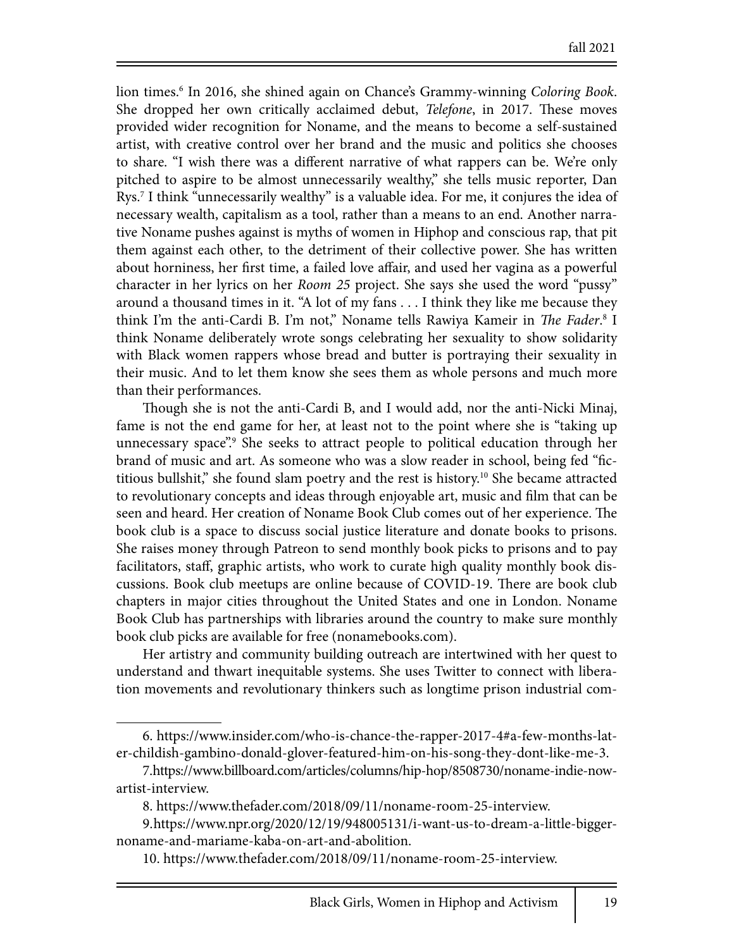lion times.6 In 2016, she shined again on Chance's Grammy-winning *Coloring Book*. She dropped her own critically acclaimed debut, *Telefone*, in 2017. These moves provided wider recognition for Noname, and the means to become a self-sustained artist, with creative control over her brand and the music and politics she chooses to share. "I wish there was a different narrative of what rappers can be. We're only pitched to aspire to be almost unnecessarily wealthy," she tells music reporter, Dan Rys.7 I think "unnecessarily wealthy" is a valuable idea. For me, it conjures the idea of necessary wealth, capitalism as a tool, rather than a means to an end. Another narrative Noname pushes against is myths of women in Hiphop and conscious rap, that pit them against each other, to the detriment of their collective power. She has written about horniness, her first time, a failed love affair, and used her vagina as a powerful character in her lyrics on her *Room 25* project. She says she used the word "pussy" around a thousand times in it. "A lot of my fans . . . I think they like me because they think I'm the anti-Cardi B. I'm not," Noname tells Rawiya Kameir in *The Fader*.<sup>8</sup> I think Noname deliberately wrote songs celebrating her sexuality to show solidarity with Black women rappers whose bread and butter is portraying their sexuality in their music. And to let them know she sees them as whole persons and much more than their performances.

Though she is not the anti-Cardi B, and I would add, nor the anti-Nicki Minaj, fame is not the end game for her, at least not to the point where she is "taking up unnecessary space".<sup>9</sup> She seeks to attract people to political education through her brand of music and art. As someone who was a slow reader in school, being fed "fictitious bullshit," she found slam poetry and the rest is history.10 She became attracted to revolutionary concepts and ideas through enjoyable art, music and film that can be seen and heard. Her creation of Noname Book Club comes out of her experience. The book club is a space to discuss social justice literature and donate books to prisons. She raises money through Patreon to send monthly book picks to prisons and to pay facilitators, staff, graphic artists, who work to curate high quality monthly book discussions. Book club meetups are online because of COVID-19. There are book club chapters in major cities throughout the United States and one in London. Noname Book Club has partnerships with libraries around the country to make sure monthly book club picks are available for free (nonamebooks.com).

Her artistry and community building outreach are intertwined with her quest to understand and thwart inequitable systems. She uses Twitter to connect with liberation movements and revolutionary thinkers such as longtime prison industrial com-

8. https://www.thefader.com/2018/09/11/noname-room-25-interview.

<sup>6.</sup> https://www.insider.com/who-is-chance-the-rapper-2017-4#a-few-months-later-childish-gambino-donald-glover-featured-him-on-his-song-they-dont-like-me-3.

<sup>7.</sup> https://www.billboard.com/articles/columns/hip-hop/8508730/noname-indie-nowartist-interview.

<sup>9.</sup> https://www.npr.org/2020/12/19/948005131/i-want-us-to-dream-a-little-biggernoname-and-mariame-kaba-on-art-and-abolition.

<sup>10.</sup> https://www.thefader.com/2018/09/11/noname-room-25-interview.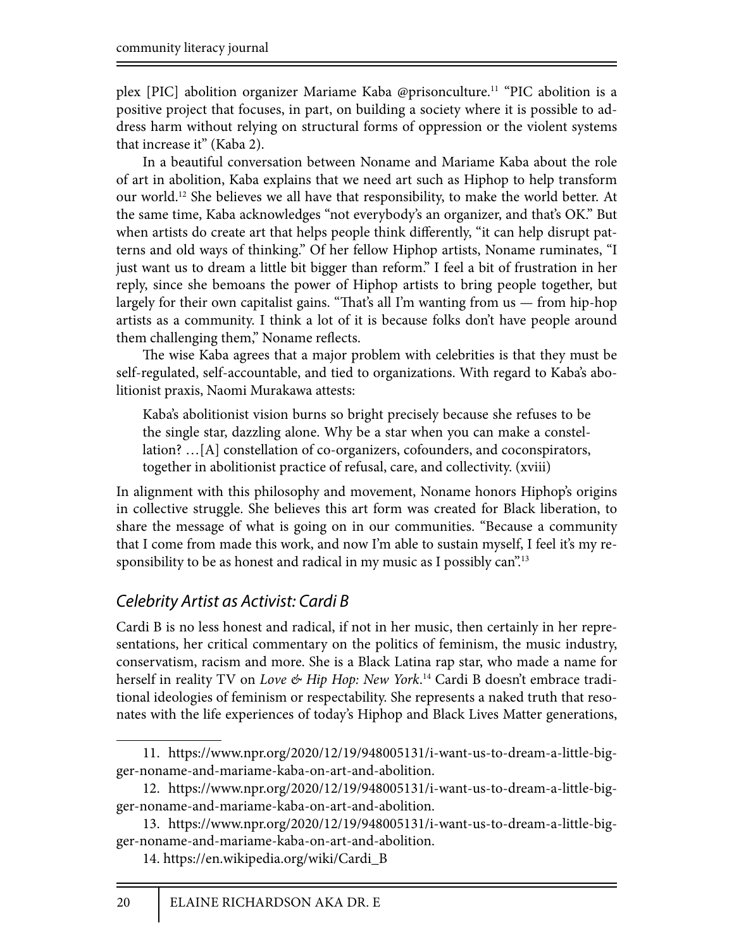plex [PIC] abolition organizer Mariame Kaba @prisonculture.11 "PIC abolition is a positive project that focuses, in part, on building a society where it is possible to address harm without relying on structural forms of oppression or the violent systems that increase it" (Kaba 2).

In a beautiful conversation between Noname and Mariame Kaba about the role of art in abolition, Kaba explains that we need art such as Hiphop to help transform our world.12 She believes we all have that responsibility, to make the world better. At the same time, Kaba acknowledges "not everybody's an organizer, and that's OK." But when artists do create art that helps people think differently, "it can help disrupt patterns and old ways of thinking." Of her fellow Hiphop artists, Noname ruminates, "I just want us to dream a little bit bigger than reform." I feel a bit of frustration in her reply, since she bemoans the power of Hiphop artists to bring people together, but largely for their own capitalist gains. "That's all I'm wanting from  $us$  — from hip-hop artists as a community. I think a lot of it is because folks don't have people around them challenging them," Noname reflects.

The wise Kaba agrees that a major problem with celebrities is that they must be self-regulated, self-accountable, and tied to organizations. With regard to Kaba's abolitionist praxis, Naomi Murakawa attests:

Kaba's abolitionist vision burns so bright precisely because she refuses to be the single star, dazzling alone. Why be a star when you can make a constellation? …[A] constellation of co-organizers, cofounders, and coconspirators, together in abolitionist practice of refusal, care, and collectivity. (xviii)

In alignment with this philosophy and movement, Noname honors Hiphop's origins in collective struggle. She believes this art form was created for Black liberation, to share the message of what is going on in our communities. "Because a community that I come from made this work, and now I'm able to sustain myself, I feel it's my responsibility to be as honest and radical in my music as I possibly can".<sup>13</sup>

### *Celebrity Artist as Activist: Cardi B*

Cardi B is no less honest and radical, if not in her music, then certainly in her representations, her critical commentary on the politics of feminism, the music industry, conservatism, racism and more. She is a Black Latina rap star, who made a name for herself in reality TV on *Love & Hip Hop: New York*. 14 Cardi B doesn't embrace traditional ideologies of feminism or respectability. She represents a naked truth that resonates with the life experiences of today's Hiphop and Black Lives Matter generations,

<sup>11.</sup> https://www.npr.org/2020/12/19/948005131/i-want-us-to-dream-a-little-bigger-noname-and-mariame-kaba-on-art-and-abolition.

<sup>12.</sup> https://www.npr.org/2020/12/19/948005131/i-want-us-to-dream-a-little-bigger-noname-and-mariame-kaba-on-art-and-abolition.

<sup>13.</sup> https://www.npr.org/2020/12/19/948005131/i-want-us-to-dream-a-little-bigger-noname-and-mariame-kaba-on-art-and-abolition.

<sup>14.</sup> https://en.wikipedia.org/wiki/Cardi\_B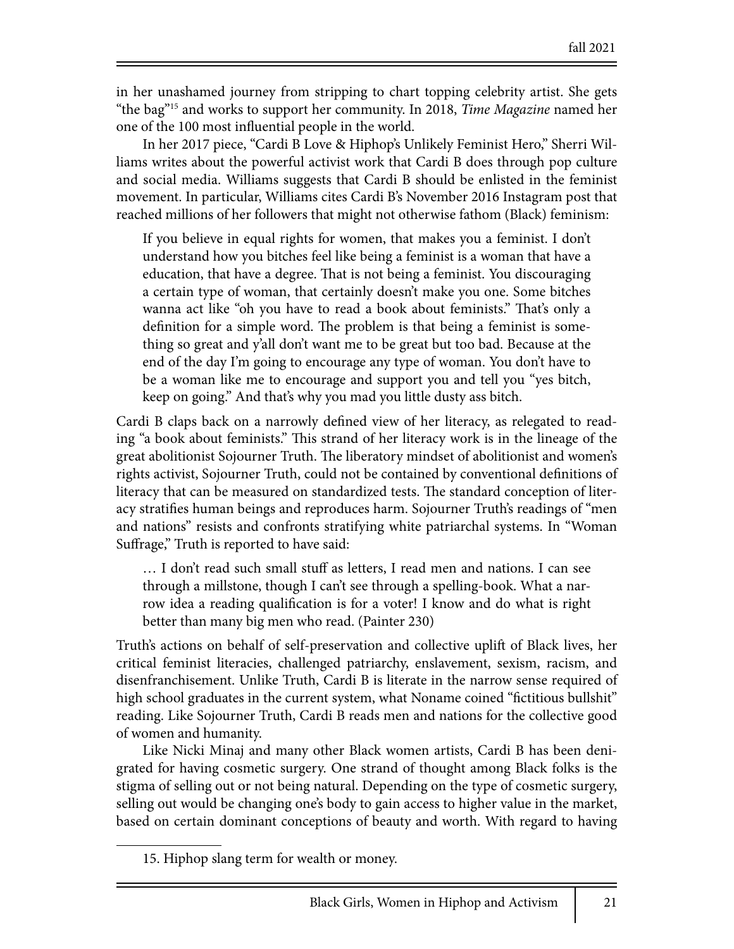in her unashamed journey from stripping to chart topping celebrity artist. She gets "the bag"15 and works to support her community. In 2018, *Time Magazine* named her one of the 100 most influential people in the world.

In her 2017 piece, "Cardi B Love & Hiphop's Unlikely Feminist Hero," Sherri Williams writes about the powerful activist work that Cardi B does through pop culture and social media. Williams suggests that Cardi B should be enlisted in the feminist movement. In particular, Williams cites Cardi B's November 2016 Instagram post that reached millions of her followers that might not otherwise fathom (Black) feminism:

If you believe in equal rights for women, that makes you a feminist. I don't understand how you bitches feel like being a feminist is a woman that have a education, that have a degree. That is not being a feminist. You discouraging a certain type of woman, that certainly doesn't make you one. Some bitches wanna act like "oh you have to read a book about feminists." That's only a definition for a simple word. The problem is that being a feminist is something so great and y'all don't want me to be great but too bad. Because at the end of the day I'm going to encourage any type of woman. You don't have to be a woman like me to encourage and support you and tell you "yes bitch, keep on going." And that's why you mad you little dusty ass bitch.

Cardi B claps back on a narrowly defined view of her literacy, as relegated to reading "a book about feminists." This strand of her literacy work is in the lineage of the great abolitionist Sojourner Truth. The liberatory mindset of abolitionist and women's rights activist, Sojourner Truth, could not be contained by conventional definitions of literacy that can be measured on standardized tests. The standard conception of literacy stratifies human beings and reproduces harm. Sojourner Truth's readings of "men and nations" resists and confronts stratifying white patriarchal systems. In "Woman Suffrage," Truth is reported to have said:

... I don't read such small stuff as letters, I read men and nations. I can see through a millstone, though I can't see through a spelling-book. What a narrow idea a reading qualification is for a voter! I know and do what is right better than many big men who read. (Painter 230)

Truth's actions on behalf of self-preservation and collective uplift of Black lives, her critical feminist literacies, challenged patriarchy, enslavement, sexism, racism, and disenfranchisement. Unlike Truth, Cardi B is literate in the narrow sense required of high school graduates in the current system, what Noname coined "fictitious bullshit" reading. Like Sojourner Truth, Cardi B reads men and nations for the collective good of women and humanity.

Like Nicki Minaj and many other Black women artists, Cardi B has been denigrated for having cosmetic surgery. One strand of thought among Black folks is the stigma of selling out or not being natural. Depending on the type of cosmetic surgery, selling out would be changing one's body to gain access to higher value in the market, based on certain dominant conceptions of beauty and worth. With regard to having

<sup>15.</sup> Hiphop slang term for wealth or money.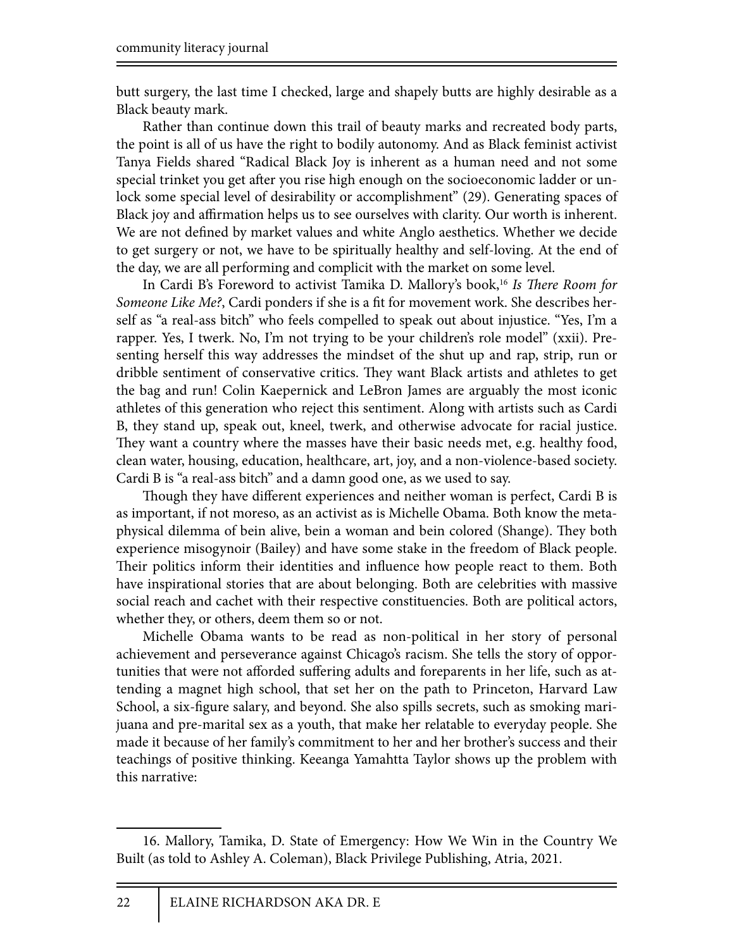butt surgery, the last time I checked, large and shapely butts are highly desirable as a Black beauty mark.

Rather than continue down this trail of beauty marks and recreated body parts, the point is all of us have the right to bodily autonomy. And as Black feminist activist Tanya Fields shared "Radical Black Joy is inherent as a human need and not some special trinket you get after you rise high enough on the socioeconomic ladder or unlock some special level of desirability or accomplishment" (29). Generating spaces of Black joy and affirmation helps us to see ourselves with clarity. Our worth is inherent. We are not defined by market values and white Anglo aesthetics. Whether we decide to get surgery or not, we have to be spiritually healthy and self-loving. At the end of the day, we are all performing and complicit with the market on some level.

In Cardi B's Foreword to activist Tamika D. Mallory's book,<sup>16</sup> Is There Room for *Someone Like Me?*, Cardi ponders if she is a fit for movement work. She describes herself as "a real-ass bitch" who feels compelled to speak out about injustice. "Yes, I'm a rapper. Yes, I twerk. No, I'm not trying to be your children's role model" (xxii). Presenting herself this way addresses the mindset of the shut up and rap, strip, run or dribble sentiment of conservative critics. They want Black artists and athletes to get the bag and run! Colin Kaepernick and LeBron James are arguably the most iconic athletes of this generation who reject this sentiment. Along with artists such as Cardi B, they stand up, speak out, kneel, twerk, and otherwise advocate for racial justice. They want a country where the masses have their basic needs met, e.g. healthy food, clean water, housing, education, healthcare, art, joy, and a non-violence-based society. Cardi B is "a real-ass bitch" and a damn good one, as we used to say.

Though they have different experiences and neither woman is perfect, Cardi B is as important, if not moreso, as an activist as is Michelle Obama. Both know the metaphysical dilemma of bein alive, bein a woman and bein colored (Shange). They both experience misogynoir (Bailey) and have some stake in the freedom of Black people. Their politics inform their identities and influence how people react to them. Both have inspirational stories that are about belonging. Both are celebrities with massive social reach and cachet with their respective constituencies. Both are political actors, whether they, or others, deem them so or not.

Michelle Obama wants to be read as non-political in her story of personal achievement and perseverance against Chicago's racism. She tells the story of opportunities that were not afforded suffering adults and foreparents in her life, such as attending a magnet high school, that set her on the path to Princeton, Harvard Law School, a six-figure salary, and beyond. She also spills secrets, such as smoking marijuana and pre-marital sex as a youth, that make her relatable to everyday people. She made it because of her family's commitment to her and her brother's success and their teachings of positive thinking. Keeanga Yamahtta Taylor shows up the problem with this narrative:

<sup>16.</sup> Mallory, Tamika, D. State of Emergency: How We Win in the Country We Built (as told to Ashley A. Coleman), Black Privilege Publishing, Atria, 2021.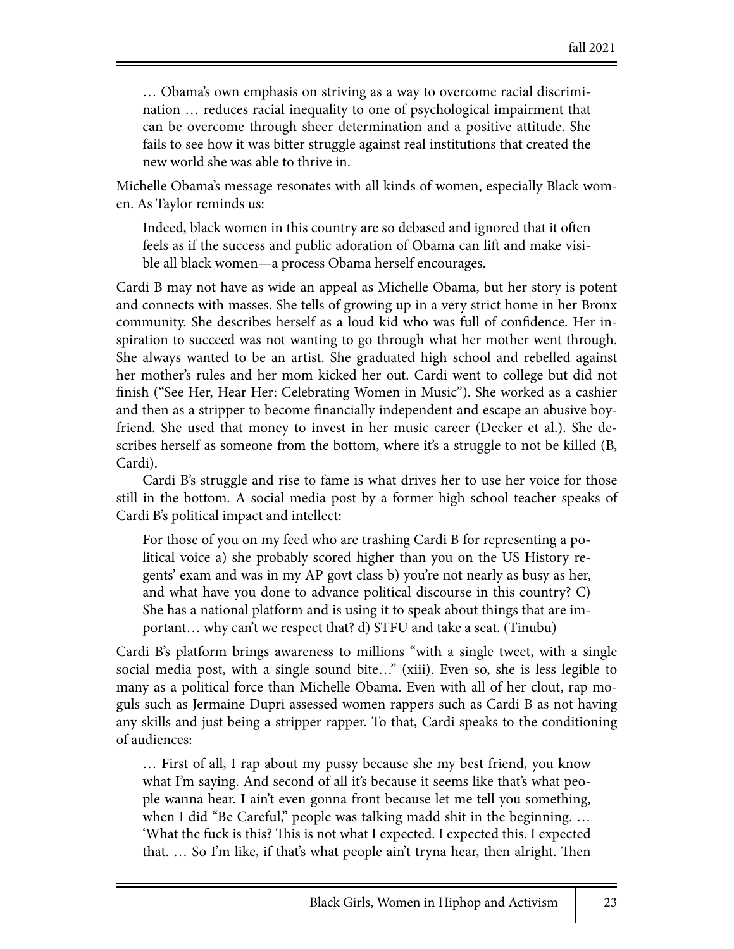… Obama's own emphasis on striving as a way to overcome racial discrimination … reduces racial inequality to one of psychological impairment that can be overcome through sheer determination and a positive attitude. She fails to see how it was bitter struggle against real institutions that created the new world she was able to thrive in.

Michelle Obama's message resonates with all kinds of women, especially Black women. As Taylor reminds us:

Indeed, black women in this country are so debased and ignored that it often feels as if the success and public adoration of Obama can lift and make visible all black women—a process Obama herself encourages.

Cardi B may not have as wide an appeal as Michelle Obama, but her story is potent and connects with masses. She tells of growing up in a very strict home in her Bronx community. She describes herself as a loud kid who was full of confidence. Her inspiration to succeed was not wanting to go through what her mother went through. She always wanted to be an artist. She graduated high school and rebelled against her mother's rules and her mom kicked her out. Cardi went to college but did not finish ("See Her, Hear Her: Celebrating Women in Music"). She worked as a cashier and then as a stripper to become financially independent and escape an abusive boyfriend. She used that money to invest in her music career (Decker et al.). She describes herself as someone from the bottom, where it's a struggle to not be killed (B, Cardi).

Cardi B's struggle and rise to fame is what drives her to use her voice for those still in the bottom. A social media post by a former high school teacher speaks of Cardi B's political impact and intellect:

For those of you on my feed who are trashing Cardi B for representing a political voice a) she probably scored higher than you on the US History regents' exam and was in my AP govt class b) you're not nearly as busy as her, and what have you done to advance political discourse in this country? C) She has a national platform and is using it to speak about things that are important… why can't we respect that? d) STFU and take a seat. (Tinubu)

Cardi B's platform brings awareness to millions "with a single tweet, with a single social media post, with a single sound bite…" (xiii). Even so, she is less legible to many as a political force than Michelle Obama. Even with all of her clout, rap moguls such as Jermaine Dupri assessed women rappers such as Cardi B as not having any skills and just being a stripper rapper. To that, Cardi speaks to the conditioning of audiences:

… First of all, I rap about my pussy because she my best friend, you know what I'm saying. And second of all it's because it seems like that's what people wanna hear. I ain't even gonna front because let me tell you something, when I did "Be Careful," people was talking madd shit in the beginning... 'What the fuck is this? This is not what I expected. I expected this. I expected that.  $\ldots$  So I'm like, if that's what people ain't tryna hear, then alright. Then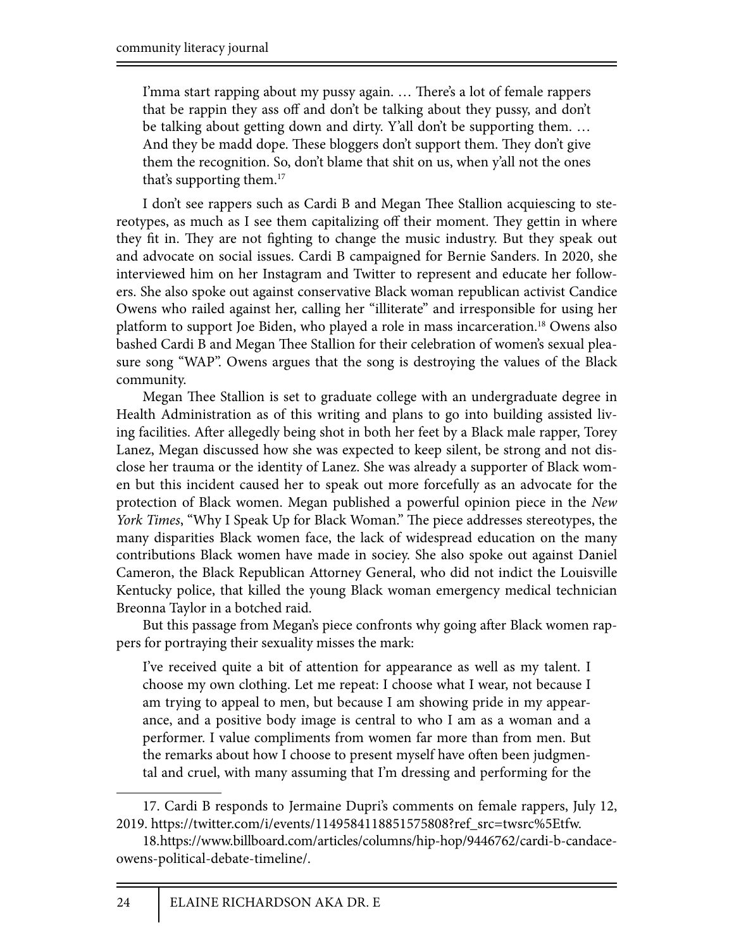I'mma start rapping about my pussy again. ... There's a lot of female rappers that be rappin they ass off and don't be talking about they pussy, and don't be talking about getting down and dirty. Y'all don't be supporting them. … And they be madd dope. These bloggers don't support them. They don't give them the recognition. So, don't blame that shit on us, when y'all not the ones that's supporting them.<sup>17</sup>

I don't see rappers such as Cardi B and Megan Thee Stallion acquiescing to stereotypes, as much as I see them capitalizing off their moment. They gettin in where they fit in. They are not fighting to change the music industry. But they speak out and advocate on social issues. Cardi B campaigned for Bernie Sanders. In 2020, she interviewed him on her Instagram and Twitter to represent and educate her followers. She also spoke out against conservative Black woman republican activist Candice Owens who railed against her, calling her "illiterate" and irresponsible for using her platform to support Joe Biden, who played a role in mass incarceration.18 Owens also bashed Cardi B and Megan Thee Stallion for their celebration of women's sexual pleasure song "WAP". Owens argues that the song is destroying the values of the Black community.

Megan Thee Stallion is set to graduate college with an undergraduate degree in Health Administration as of this writing and plans to go into building assisted living facilities. After allegedly being shot in both her feet by a Black male rapper, Torey Lanez, Megan discussed how she was expected to keep silent, be strong and not disclose her trauma or the identity of Lanez. She was already a supporter of Black women but this incident caused her to speak out more forcefully as an advocate for the protection of Black women. Megan published a powerful opinion piece in the *New York Times*, "Why I Speak Up for Black Woman." The piece addresses stereotypes, the many disparities Black women face, the lack of widespread education on the many contributions Black women have made in sociey. She also spoke out against Daniel Cameron, the Black Republican Attorney General, who did not indict the Louisville Kentucky police, that killed the young Black woman emergency medical technician Breonna Taylor in a botched raid.

But this passage from Megan's piece confronts why going after Black women rappers for portraying their sexuality misses the mark:

I've received quite a bit of attention for appearance as well as my talent. I choose my own clothing. Let me repeat: I choose what I wear, not because I am trying to appeal to men, but because I am showing pride in my appearance, and a positive body image is central to who I am as a woman and a performer. I value compliments from women far more than from men. But the remarks about how I choose to present myself have often been judgmental and cruel, with many assuming that I'm dressing and performing for the

<sup>17.</sup> Cardi B responds to Jermaine Dupri's comments on female rappers, July 12, 2019. https://twitter.com/i/events/1149584118851575808?ref\_src=twsrc%5Etfw.

<sup>18.</sup> https://www.billboard.com/articles/columns/hip-hop/9446762/cardi-b-candaceowens-political-debate-timeline/.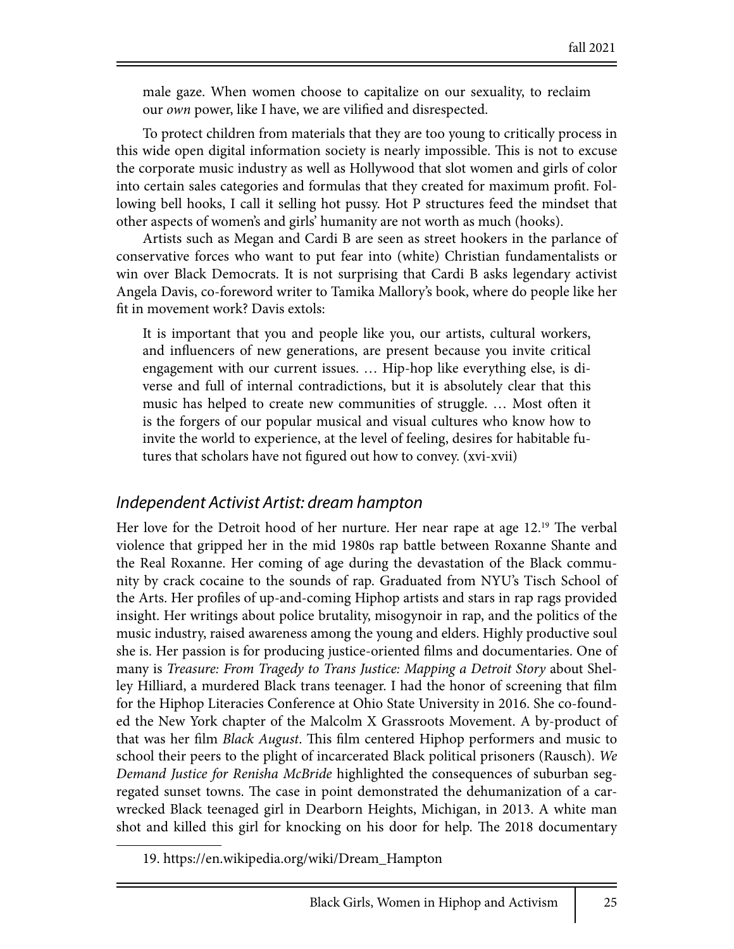male gaze. When women choose to capitalize on our sexuality, to reclaim our *own* power, like I have, we are vilified and disrespected.

To protect children from materials that they are too young to critically process in this wide open digital information society is nearly impossible. This is not to excuse the corporate music industry as well as Hollywood that slot women and girls of color into certain sales categories and formulas that they created for maximum profit. Following bell hooks, I call it selling hot pussy. Hot P structures feed the mindset that other aspects of women's and girls' humanity are not worth as much (hooks).

Artists such as Megan and Cardi B are seen as street hookers in the parlance of conservative forces who want to put fear into (white) Christian fundamentalists or win over Black Democrats. It is not surprising that Cardi B asks legendary activist Angela Davis, co-foreword writer to Tamika Mallory's book, where do people like her fit in movement work? Davis extols:

It is important that you and people like you, our artists, cultural workers, and influencers of new generations, are present because you invite critical engagement with our current issues. … Hip-hop like everything else, is diverse and full of internal contradictions, but it is absolutely clear that this music has helped to create new communities of struggle. ... Most often it is the forgers of our popular musical and visual cultures who know how to invite the world to experience, at the level of feeling, desires for habitable futures that scholars have not figured out how to convey. (xvi-xvii)

#### *Independent Activist Artist: dream hampton*

Her love for the Detroit hood of her nurture. Her near rape at age  $12.^{19}$  The verbal violence that gripped her in the mid 1980s rap battle between Roxanne Shante and the Real Roxanne. Her coming of age during the devastation of the Black community by crack cocaine to the sounds of rap. Graduated from NYU's Tisch School of the Arts. Her profiles of up-and-coming Hiphop artists and stars in rap rags provided insight. Her writings about police brutality, misogynoir in rap, and the politics of the music industry, raised awareness among the young and elders. Highly productive soul she is. Her passion is for producing justice-oriented films and documentaries. One of many is *Treasure: From Tragedy to Trans Justice: Mapping a Detroit Story* about Shelley Hilliard, a murdered Black trans teenager. I had the honor of screening that film for the Hiphop Literacies Conference at Ohio State University in 2016. She co-founded the New York chapter of the Malcolm X Grassroots Movement. A by-product of that was her film *Black August*. This film centered Hiphop performers and music to school their peers to the plight of incarcerated Black political prisoners (Rausch). *We Demand Justice for Renisha McBride* highlighted the consequences of suburban segregated sunset towns. The case in point demonstrated the dehumanization of a carwrecked Black teenaged girl in Dearborn Heights, Michigan, in 2013. A white man shot and killed this girl for knocking on his door for help. The 2018 documentary

<sup>19.</sup> https://en.wikipedia.org/wiki/Dream\_Hampton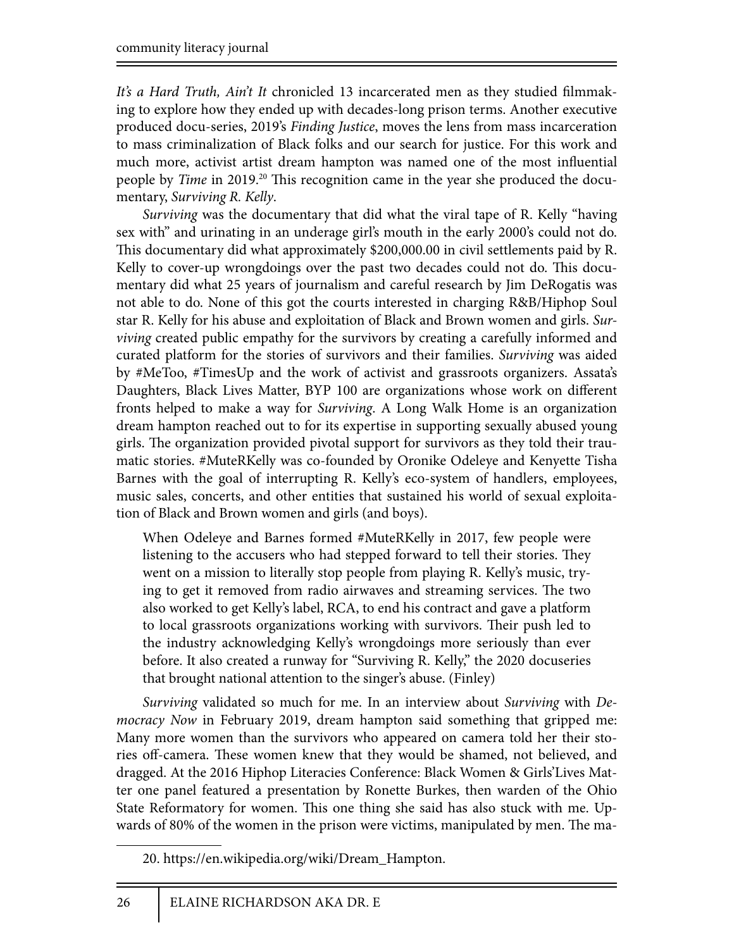It's a Hard Truth, Ain't It chronicled 13 incarcerated men as they studied filmmaking to explore how they ended up with decades-long prison terms. Another executive produced docu-series, 2019's *Finding Justice*, moves the lens from mass incarceration to mass criminalization of Black folks and our search for justice. For this work and much more, activist artist dream hampton was named one of the most influential people by *Time* in 2019.<sup>20</sup> This recognition came in the year she produced the documentary, *Surviving R. Kelly*.

*Surviving* was the documentary that did what the viral tape of R. Kelly "having sex with" and urinating in an underage girl's mouth in the early 2000's could not do. This documentary did what approximately \$200,000.00 in civil settlements paid by R. Kelly to cover-up wrongdoings over the past two decades could not do. This documentary did what 25 years of journalism and careful research by Jim DeRogatis was not able to do. None of this got the courts interested in charging R&B/Hiphop Soul star R. Kelly for his abuse and exploitation of Black and Brown women and girls. *Surviving* created public empathy for the survivors by creating a carefully informed and curated platform for the stories of survivors and their families. *Surviving* was aided by #MeToo, #TimesUp and the work of activist and grassroots organizers. Assata's Daughters, Black Lives Matter, BYP 100 are organizations whose work on different fronts helped to make a way for *Surviving*. A Long Walk Home is an organization dream hampton reached out to for its expertise in supporting sexually abused young girls. The organization provided pivotal support for survivors as they told their traumatic stories. #MuteRKelly was co-founded by Oronike Odeleye and Kenyette Tisha Barnes with the goal of interrupting R. Kelly's eco-system of handlers, employees, music sales, concerts, and other entities that sustained his world of sexual exploitation of Black and Brown women and girls (and boys).

When Odeleye and Barnes formed #MuteRKelly in 2017, few people were listening to the accusers who had stepped forward to tell their stories. They went on a mission to literally stop people from playing R. Kelly's music, trying to get it removed from radio airwaves and streaming services. The two also worked to get Kelly's label, RCA, to end his contract and gave a platform to local grassroots organizations working with survivors. Their push led to the industry acknowledging Kelly's wrongdoings more seriously than ever before. It also created a runway for "Surviving R. Kelly," the 2020 docuseries that brought national attention to the singer's abuse. (Finley)

*Surviving* validated so much for me. In an interview about *Surviving* with *Democracy Now* in February 2019, dream hampton said something that gripped me: Many more women than the survivors who appeared on camera told her their stories off-camera. These women knew that they would be shamed, not believed, and dragged. At the 2016 Hiphop Literacies Conference: Black Women & Girls'Lives Matter one panel featured a presentation by Ronette Burkes, then warden of the Ohio State Reformatory for women. This one thing she said has also stuck with me. Upwards of 80% of the women in the prison were victims, manipulated by men. The ma-

<sup>20.</sup> https://en.wikipedia.org/wiki/Dream\_Hampton.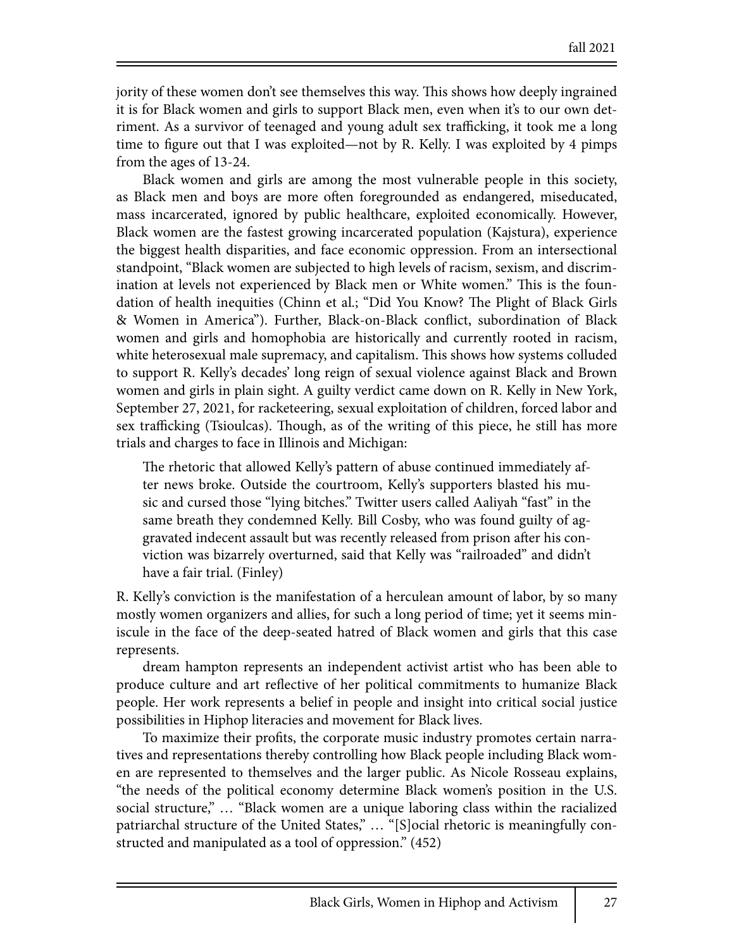jority of these women don't see themselves this way. This shows how deeply ingrained it is for Black women and girls to support Black men, even when it's to our own detriment. As a survivor of teenaged and young adult sex trafficking, it took me a long time to figure out that I was exploited—not by R. Kelly. I was exploited by 4 pimps from the ages of 13-24.

Black women and girls are among the most vulnerable people in this society, as Black men and boys are more often foregrounded as endangered, miseducated, mass incarcerated, ignored by public healthcare, exploited economically. However, Black women are the fastest growing incarcerated population (Kajstura), experience the biggest health disparities, and face economic oppression. From an intersectional standpoint, "Black women are subjected to high levels of racism, sexism, and discrimination at levels not experienced by Black men or White women." This is the foundation of health inequities (Chinn et al.; "Did You Know? The Plight of Black Girls & Women in America"). Further, Black-on-Black conflict, subordination of Black women and girls and homophobia are historically and currently rooted in racism, white heterosexual male supremacy, and capitalism. This shows how systems colluded to support R. Kelly's decades' long reign of sexual violence against Black and Brown women and girls in plain sight. A guilty verdict came down on R. Kelly in New York, September 27, 2021, for racketeering, sexual exploitation of children, forced labor and sex trafficking (Tsioulcas). Though, as of the writing of this piece, he still has more trials and charges to face in Illinois and Michigan:

The rhetoric that allowed Kelly's pattern of abuse continued immediately after news broke. Outside the courtroom, Kelly's supporters blasted his music and cursed those "lying bitches." Twitter users called Aaliyah "fast" in the same breath they condemned Kelly. Bill Cosby, who was found guilty of aggravated indecent assault but was recently released from prison after his conviction was bizarrely overturned, said that Kelly was "railroaded" and didn't have a fair trial. (Finley)

R. Kelly's conviction is the manifestation of a herculean amount of labor, by so many mostly women organizers and allies, for such a long period of time; yet it seems miniscule in the face of the deep-seated hatred of Black women and girls that this case represents.

dream hampton represents an independent activist artist who has been able to produce culture and art reflective of her political commitments to humanize Black people. Her work represents a belief in people and insight into critical social justice possibilities in Hiphop literacies and movement for Black lives.

To maximize their profits, the corporate music industry promotes certain narratives and representations thereby controlling how Black people including Black women are represented to themselves and the larger public. As Nicole Rosseau explains, "the needs of the political economy determine Black women's position in the U.S. social structure," … "Black women are a unique laboring class within the racialized patriarchal structure of the United States," … "[S]ocial rhetoric is meaningfully constructed and manipulated as a tool of oppression." (452)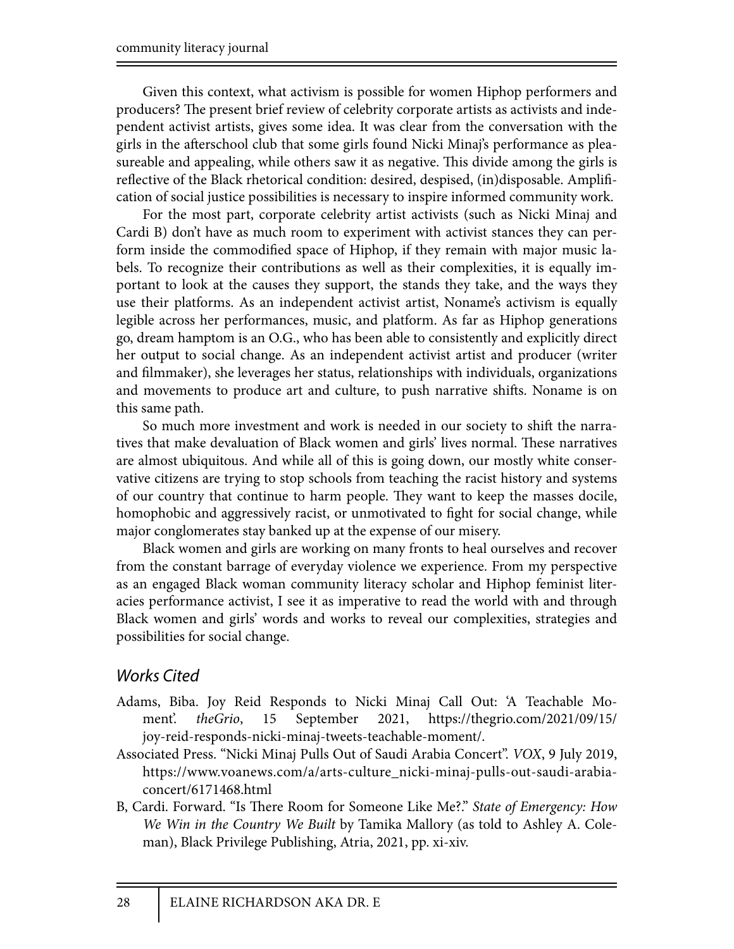Given this context, what activism is possible for women Hiphop performers and producers? The present brief review of celebrity corporate artists as activists and independent activist artists, gives some idea. It was clear from the conversation with the girls in the afterschool club that some girls found Nicki Minaj's performance as pleasureable and appealing, while others saw it as negative. This divide among the girls is reflective of the Black rhetorical condition: desired, despised, (in)disposable. Amplification of social justice possibilities is necessary to inspire informed community work.

For the most part, corporate celebrity artist activists (such as Nicki Minaj and Cardi B) don't have as much room to experiment with activist stances they can perform inside the commodified space of Hiphop, if they remain with major music labels. To recognize their contributions as well as their complexities, it is equally important to look at the causes they support, the stands they take, and the ways they use their platforms. As an independent activist artist, Noname's activism is equally legible across her performances, music, and platform. As far as Hiphop generations go, dream hamptom is an O.G., who has been able to consistently and explicitly direct her output to social change. As an independent activist artist and producer (writer and filmmaker), she leverages her status, relationships with individuals, organizations and movements to produce art and culture, to push narrative shifts. Noname is on this same path.

So much more investment and work is needed in our society to shift the narratives that make devaluation of Black women and girls' lives normal. These narratives are almost ubiquitous. And while all of this is going down, our mostly white conservative citizens are trying to stop schools from teaching the racist history and systems of our country that continue to harm people. They want to keep the masses docile, homophobic and aggressively racist, or unmotivated to fight for social change, while major conglomerates stay banked up at the expense of our misery.

Black women and girls are working on many fronts to heal ourselves and recover from the constant barrage of everyday violence we experience. From my perspective as an engaged Black woman community literacy scholar and Hiphop feminist literacies performance activist, I see it as imperative to read the world with and through Black women and girls' words and works to reveal our complexities, strategies and possibilities for social change.

### *Works Cited*

- Adams, Biba. Joy Reid Responds to Nicki Minaj Call Out: 'A Teachable Moment'. *theGrio*, 15 September 2021, https://thegrio.com/2021/09/15/ joy-reid-responds-nicki-minaj-tweets-teachable-moment/.
- Associated Press. "Nicki Minaj Pulls Out of Saudi Arabia Concert". *VOX*, 9 July 2019, https://www.voanews.com/a/arts-culture\_nicki-minaj-pulls-out-saudi-arabiaconcert/6171468.html
- B, Cardi. Forward. "Is There Room for Someone Like Me?." *State of Emergency: How We Win in the Country We Built* by Tamika Mallory (as told to Ashley A. Coleman), Black Privilege Publishing, Atria, 2021, pp. xi-xiv.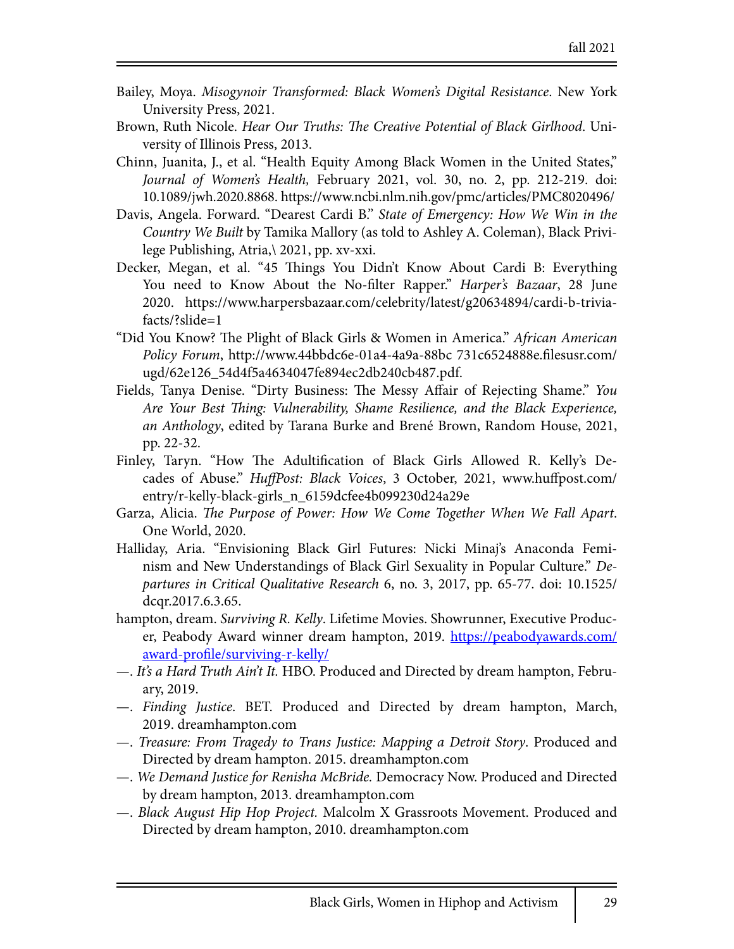- Bailey, Moya. *Misogynoir Transformed: Black Women's Digital Resistance*. New York University Press, 2021.
- Brown, Ruth Nicole. *Hear Our Truths:* !*e Creative Potential of Black Girlhood*. University of Illinois Press, 2013.
- Chinn, Juanita, J., et al. "Health Equity Among Black Women in the United States," *Journal of Women's Health,* February 2021, vol. 30, no. 2, pp. 212-219. doi: 10.1089/jwh.2020.8868. https://www.ncbi.nlm.nih.gov/pmc/articles/PMC8020496/
- Davis, Angela. Forward. "Dearest Cardi B." *State of Emergency: How We Win in the Country We Built* by Tamika Mallory (as told to Ashley A. Coleman), Black Privilege Publishing, Atria,\ 2021, pp. xv-xxi.
- Decker, Megan, et al. "45 Things You Didn't Know About Cardi B: Everything You need to Know About the No-filter Rapper." *Harper's Bazaar*, 28 June 2020. https://www.harpersbazaar.com/celebrity/latest/g20634894/cardi-b-triviafacts/?slide=1
- "Did You Know? The Plight of Black Girls & Women in America." *African American Policy Forum*, http://www.44bbdc6e-01a4-4a9a-88bc 731c6524888e.filesusr.com/ ugd/62e126\_54d4f5a4634047fe894ec2db240cb487.pdf.
- Fields, Tanya Denise. "Dirty Business: The Messy Affair of Rejecting Shame." *You Are Your Best* !*ing: Vulnerability, Shame Resilience, and the Black Experience, an Anthology*, edited by Tarana Burke and Brené Brown, Random House, 2021, pp. 22-32.
- Finley, Taryn. "How The Adultification of Black Girls Allowed R. Kelly's Decades of Abuse." *HuffPost: Black Voices*, 3 October, 2021, www.huffpost.com/ entry/r-kelly-black-girls\_n\_6159dcfee4b099230d24a29e
- Garza, Alicia. *The Purpose of Power: How We Come Together When We Fall Apart.* One World, 2020.
- Halliday, Aria. "Envisioning Black Girl Futures: Nicki Minaj's Anaconda Feminism and New Understandings of Black Girl Sexuality in Popular Culture." *Departures in Critical Qualitative Research* 6, no. 3, 2017, pp. 65-77. doi: 10.1525/ dcqr.2017.6.3.65.
- hampton, dream. *Surviving R. Kelly*. Lifetime Movies. Showrunner, Executive Producer, Peabody Award winner dream hampton, 2019. https://peabodyawards.com/ award-profile/surviving-r-kelly/
- —. *It's a Hard Truth Ain't It.* HBO. Produced and Directed by dream hampton, February, 2019.
- —. *Finding Justice*. BET. Produced and Directed by dream hampton, March, 2019. dreamhampton.com
- —. *Treasure: From Tragedy to Trans Justice: Mapping a Detroit Story*. Produced and Directed by dream hampton. 2015. dreamhampton.com
- —. *We Demand Justice for Renisha McBride.* Democracy Now. Produced and Directed by dream hampton, 2013. dreamhampton.com
- —. *Black August Hip Hop Project.* Malcolm X Grassroots Movement. Produced and Directed by dream hampton, 2010. dreamhampton.com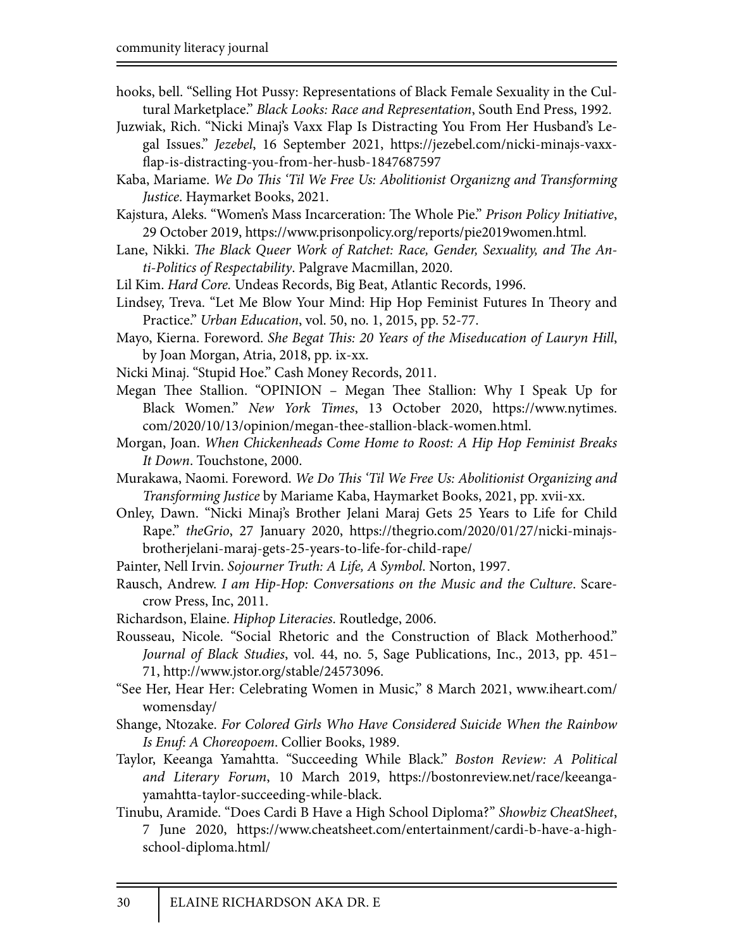- hooks, bell. "Selling Hot Pussy: Representations of Black Female Sexuality in the Cultural Marketplace." *Black Looks: Race and Representation*, South End Press, 1992.
- Juzwiak, Rich. "Nicki Minaj's Vaxx Flap Is Distracting You From Her Husband's Legal Issues." *Jezebel*, 16 September 2021, https://jezebel.com/nicki-minajs-vaxx flap-is-distracting-you-from-her-husb-1847687597
- Kaba, Mariame. *We Do* !*is 'Til We Free Us: Abolitionist Organizng and Transforming Justice*. Haymarket Books, 2021.
- Kajstura, Aleks. "Women's Mass Incarceration: The Whole Pie." *Prison Policy Initiative*, 29 October 2019, https://www.prisonpolicy.org/reports/pie2019women.html.
- Lane, Nikki. The Black Queer Work of Ratchet: Race, Gender, Sexuality, and The An*ti-Politics of Respectability*. Palgrave Macmillan, 2020.
- Lil Kim. *Hard Core.* Undeas Records, Big Beat, Atlantic Records, 1996.
- Lindsey, Treva. "Let Me Blow Your Mind: Hip Hop Feminist Futures In Theory and Practice." *Urban Education*, vol. 50, no. 1, 2015, pp. 52-77.
- Mayo, Kierna. Foreword. *She Begat* !*is: 20 Years of the Miseducation of Lauryn Hill*, by Joan Morgan, Atria, 2018, pp. ix-xx.
- Nicki Minaj. "Stupid Hoe." Cash Money Records, 2011.
- Megan Thee Stallion. "OPINION Megan Thee Stallion: Why I Speak Up for Black Women." *New York Times*, 13 October 2020, https://www.nytimes. com/2020/10/13/opinion/megan-thee-stallion-black-women.html.
- Morgan, Joan. *When Chickenheads Come Home to Roost: A Hip Hop Feminist Breaks It Down*. Touchstone, 2000.
- Murakawa, Naomi. Foreword. *We Do* !*is 'Til We Free Us: Abolitionist Organizing and Transforming Justice* by Mariame Kaba, Haymarket Books, 2021, pp. xvii-xx.
- Onley, Dawn. "Nicki Minaj's Brother Jelani Maraj Gets 25 Years to Life for Child Rape." *theGrio*, 27 January 2020, https://thegrio.com/2020/01/27/nicki-minajsbrotherjelani-maraj-gets-25-years-to-life-for-child-rape/
- Painter, Nell Irvin. *Sojourner Truth: A Life, A Symbol*. Norton, 1997.
- Rausch, Andrew. *I am Hip-Hop: Conversations on the Music and the Culture*. Scarecrow Press, Inc, 2011.
- Richardson, Elaine. *Hiphop Literacies*. Routledge, 2006.
- Rousseau, Nicole. "Social Rhetoric and the Construction of Black Motherhood." *Journal of Black Studies*, vol. 44, no. 5, Sage Publications, Inc., 2013, pp. 451– 71, http://www.jstor.org/stable/24573096.
- "See Her, Hear Her: Celebrating Women in Music," 8 March 2021, www.iheart.com/ womensday/
- Shange, Ntozake. *For Colored Girls Who Have Considered Suicide When the Rainbow Is Enuf: A Choreopoem*. Collier Books, 1989.
- Taylor, Keeanga Yamahtta. "Succeeding While Black." *Boston Review: A Political and Literary Forum*, 10 March 2019, https://bostonreview.net/race/keeangayamahtta-taylor-succeeding-while-black.
- Tinubu, Aramide. "Does Cardi B Have a High School Diploma?" *Showbiz CheatSheet*, 7 June 2020, https://www.cheatsheet.com/entertainment/cardi-b-have-a-highschool-diploma.html/